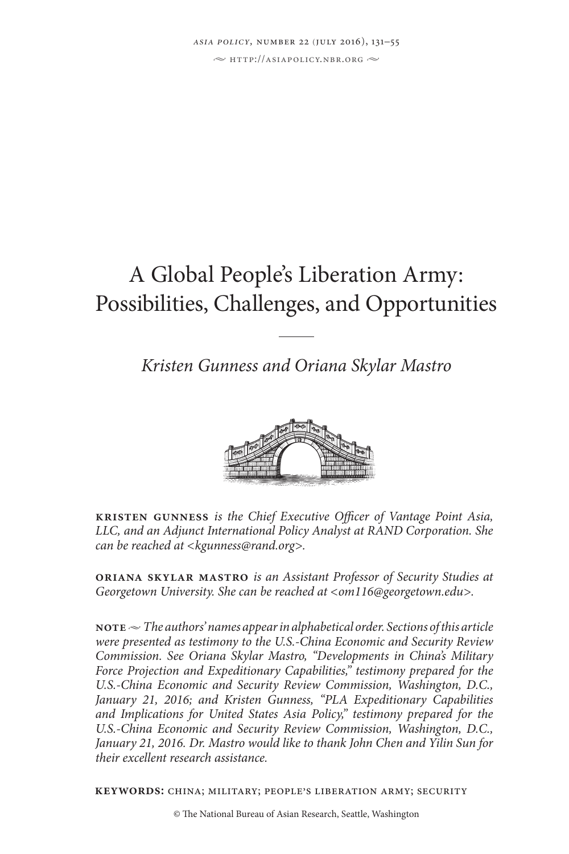$\sim$  http://asiapolicy.nbr.org  $\sim$ 

# A Global People's Liberation Army: Possibilities, Challenges, and Opportunities

*Kristen Gunness and Oriana Skylar Mastro*



**kristen gunness** *is the Chief Executive Officer of Vantage Point Asia, LLC, and an Adjunct International Policy Analyst at RAND Corporation. She can be reached at <kgunness@rand.org>.*

**oriana skylar mastro** *is an Assistant Professor of Security Studies at Georgetown University. She can be reached at <om116@georgetown.edu>.*

**note**  $\sim$  *The authors' names appear in alphabetical order. Sections of this article were presented as testimony to the U.S.-China Economic and Security Review Commission. See Oriana Skylar Mastro, "Developments in China's Military Force Projection and Expeditionary Capabilities," testimony prepared for the U.S.-China Economic and Security Review Commission, Washington, D.C., January 21, 2016; and Kristen Gunness, "PLA Expeditionary Capabilities and Implications for United States Asia Policy," testimony prepared for the U.S.-China Economic and Security Review Commission, Washington, D.C., January 21, 2016. Dr. Mastro would like to thank John Chen and Yilin Sun for their excellent research assistance.*

**keywords:** china; military; people's liberation army; security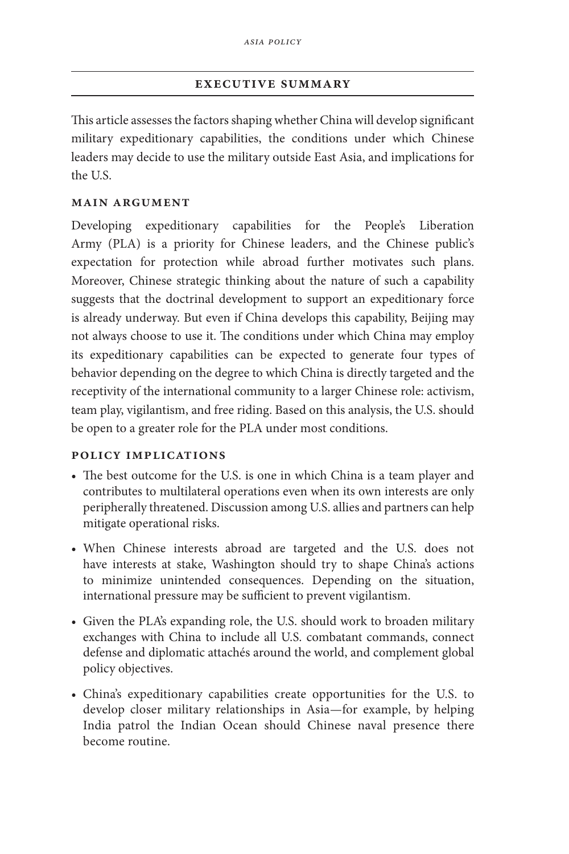## **executive summary**

This article assesses the factors shaping whether China will develop significant military expeditionary capabilities, the conditions under which Chinese leaders may decide to use the military outside East Asia, and implications for the U.S.

## **main argument**

Developing expeditionary capabilities for the People's Liberation Army (PLA) is a priority for Chinese leaders, and the Chinese public's expectation for protection while abroad further motivates such plans. Moreover, Chinese strategic thinking about the nature of such a capability suggests that the doctrinal development to support an expeditionary force is already underway. But even if China develops this capability, Beijing may not always choose to use it. The conditions under which China may employ its expeditionary capabilities can be expected to generate four types of behavior depending on the degree to which China is directly targeted and the receptivity of the international community to a larger Chinese role: activism, team play, vigilantism, and free riding. Based on this analysis, the U.S. should be open to a greater role for the PLA under most conditions.

## **policy implications**

- The best outcome for the U.S. is one in which China is a team player and contributes to multilateral operations even when its own interests are only peripherally threatened. Discussion among U.S. allies and partners can help mitigate operational risks.
- When Chinese interests abroad are targeted and the U.S. does not have interests at stake, Washington should try to shape China's actions to minimize unintended consequences. Depending on the situation, international pressure may be sufficient to prevent vigilantism.
- Given the PLA's expanding role, the U.S. should work to broaden military exchanges with China to include all U.S. combatant commands, connect defense and diplomatic attachés around the world, and complement global policy objectives.
- China's expeditionary capabilities create opportunities for the U.S. to develop closer military relationships in Asia—for example, by helping India patrol the Indian Ocean should Chinese naval presence there become routine.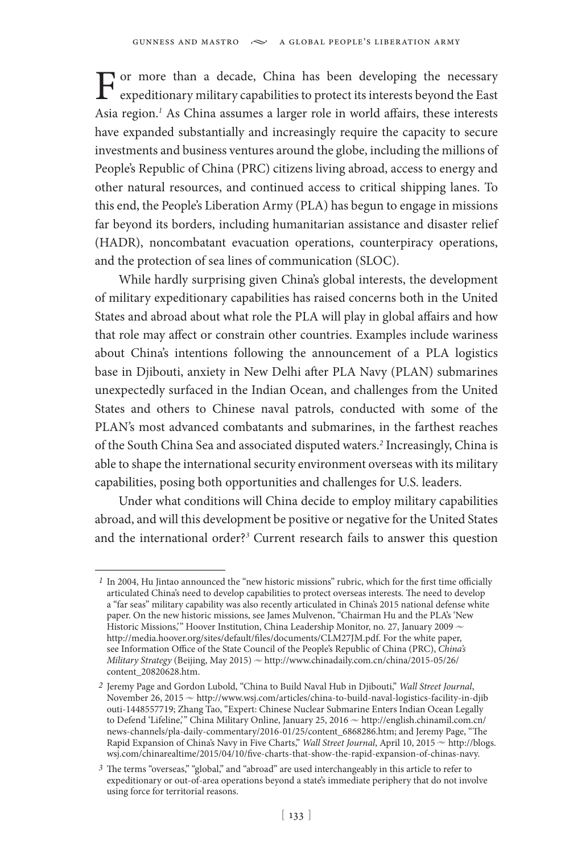For more than a decade, China has been developing the necessary expeditionary military capabilities to protect its interests beyond the East Asia region.*<sup>1</sup>* As China assumes a larger role in world affairs, these interests have expanded substantially and increasingly require the capacity to secure investments and business ventures around the globe, including the millions of People's Republic of China (PRC) citizens living abroad, access to energy and other natural resources, and continued access to critical shipping lanes. To this end, the People's Liberation Army (PLA) has begun to engage in missions far beyond its borders, including humanitarian assistance and disaster relief (HADR), noncombatant evacuation operations, counterpiracy operations, and the protection of sea lines of communication (SLOC).

While hardly surprising given China's global interests, the development of military expeditionary capabilities has raised concerns both in the United States and abroad about what role the PLA will play in global affairs and how that role may affect or constrain other countries. Examples include wariness about China's intentions following the announcement of a PLA logistics base in Djibouti, anxiety in New Delhi after PLA Navy (PLAN) submarines unexpectedly surfaced in the Indian Ocean, and challenges from the United States and others to Chinese naval patrols, conducted with some of the PLAN's most advanced combatants and submarines, in the farthest reaches of the South China Sea and associated disputed waters.*<sup>2</sup>* Increasingly, China is able to shape the international security environment overseas with its military capabilities, posing both opportunities and challenges for U.S. leaders.

Under what conditions will China decide to employ military capabilities abroad, and will this development be positive or negative for the United States and the international order?*<sup>3</sup>* Current research fails to answer this question

*<sup>1</sup>* In 2004, Hu Jintao announced the "new historic missions" rubric, which for the first time officially articulated China's need to develop capabilities to protect overseas interests. The need to develop a "far seas" military capability was also recently articulated in China's 2015 national defense white paper. On the new historic missions, see James Mulvenon, "Chairman Hu and the PLA's 'New Historic Missions," Hoover Institution, China Leadership Monitor, no. 27, January 2009 ~ http://media.hoover.org/sites/default/files/documents/CLM27JM.pdf. For the white paper, see Information Office of the State Council of the People's Republic of China (PRC), *China's Military Strategy* (Beijing, May 2015)  $\sim$  http://www.chinadaily.com.cn/china/2015-05/26/ content\_20820628.htm.

*<sup>2</sup>* Jeremy Page and Gordon Lubold, "China to Build Naval Hub in Djibouti," *Wall Street Journal*, November 26, 2015  $\sim$  http://www.wsj.com/articles/china-to-build-naval-logistics-facility-in-djib outi-1448557719; Zhang Tao, "Expert: Chinese Nuclear Submarine Enters Indian Ocean Legally to Defend 'Lifeline," China Military Online, January 25, 2016  $\sim$  http://english.chinamil.com.cn/ news-channels/pla-daily-commentary/2016-01/25/content\_6868286.htm; and Jeremy Page, "The Rapid Expansion of China's Navy in Five Charts," *Wall Street Journal*, April 10, 2015  $\sim$  http://blogs. wsj.com/chinarealtime/2015/04/10/five-charts-that-show-the-rapid-expansion-of-chinas-navy.

*<sup>3</sup>* The terms "overseas," "global," and "abroad" are used interchangeably in this article to refer to expeditionary or out-of-area operations beyond a state's immediate periphery that do not involve using force for territorial reasons.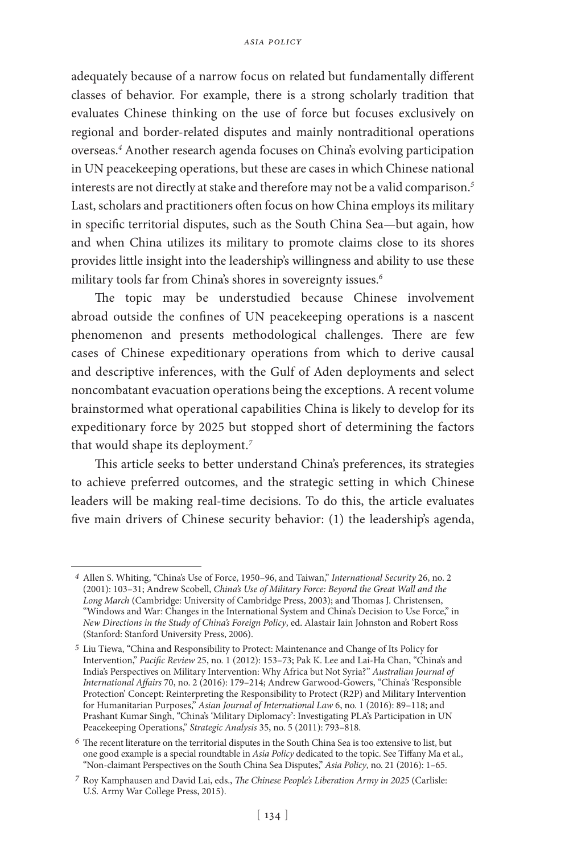adequately because of a narrow focus on related but fundamentally different classes of behavior. For example, there is a strong scholarly tradition that evaluates Chinese thinking on the use of force but focuses exclusively on regional and border-related disputes and mainly nontraditional operations overseas.*<sup>4</sup>* Another research agenda focuses on China's evolving participation in UN peacekeeping operations, but these are cases in which Chinese national interests are not directly at stake and therefore may not be a valid comparison.*<sup>5</sup>* Last, scholars and practitioners often focus on how China employs its military in specific territorial disputes, such as the South China Sea—but again, how and when China utilizes its military to promote claims close to its shores provides little insight into the leadership's willingness and ability to use these military tools far from China's shores in sovereignty issues.*<sup>6</sup>*

The topic may be understudied because Chinese involvement abroad outside the confines of UN peacekeeping operations is a nascent phenomenon and presents methodological challenges. There are few cases of Chinese expeditionary operations from which to derive causal and descriptive inferences, with the Gulf of Aden deployments and select noncombatant evacuation operations being the exceptions. A recent volume brainstormed what operational capabilities China is likely to develop for its expeditionary force by 2025 but stopped short of determining the factors that would shape its deployment.*<sup>7</sup>*

This article seeks to better understand China's preferences, its strategies to achieve preferred outcomes, and the strategic setting in which Chinese leaders will be making real-time decisions. To do this, the article evaluates five main drivers of Chinese security behavior: (1) the leadership's agenda,

*<sup>4</sup>* Allen S. Whiting, "China's Use of Force, 1950–96, and Taiwan," *International Security* 26, no. 2 (2001): 103–31; Andrew Scobell, *China's Use of Military Force: Beyond the Great Wall and the Long March* (Cambridge: University of Cambridge Press, 2003); and Thomas J. Christensen, "Windows and War: Changes in the International System and China's Decision to Use Force," in *New Directions in the Study of China's Foreign Policy*, ed. Alastair Iain Johnston and Robert Ross (Stanford: Stanford University Press, 2006).

*<sup>5</sup>* Liu Tiewa, "China and Responsibility to Protect: Maintenance and Change of Its Policy for Intervention," *Pacific Review* 25, no. 1 (2012): 153–73; Pak K. Lee and Lai-Ha Chan, "China's and India's Perspectives on Military Intervention: Why Africa but Not Syria?" *Australian Journal of International Affairs* 70, no. 2 (2016): 179–214; Andrew Garwood-Gowers, "China's 'Responsible Protection' Concept: Reinterpreting the Responsibility to Protect (R2P) and Military Intervention for Humanitarian Purposes," *Asian Journal of International Law* 6, no. 1 (2016): 89–118; and Prashant Kumar Singh, "China's 'Military Diplomacy': Investigating PLA's Participation in UN Peacekeeping Operations," *Strategic Analysis* 35, no. 5 (2011): 793–818.

*<sup>6</sup>* The recent literature on the territorial disputes in the South China Sea is too extensive to list, but one good example is a special roundtable in *Asia Policy* dedicated to the topic. See Tiffany Ma et al., "Non-claimant Perspectives on the South China Sea Disputes," *Asia Policy*, no. 21 (2016): 1–65.

*<sup>7</sup>* Roy Kamphausen and David Lai, eds., *The Chinese People's Liberation Army in 2025* (Carlisle: U.S. Army War College Press, 2015).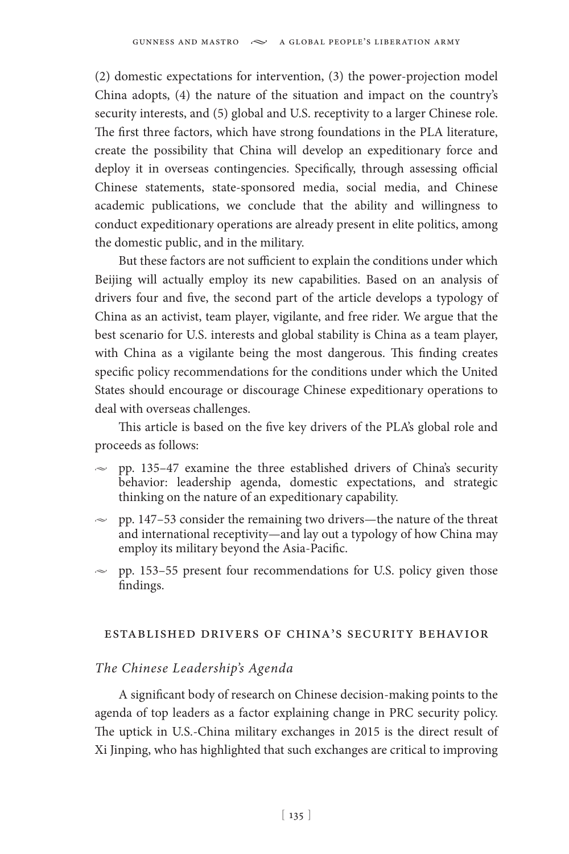(2) domestic expectations for intervention, (3) the power-projection model China adopts, (4) the nature of the situation and impact on the country's security interests, and (5) global and U.S. receptivity to a larger Chinese role. The first three factors, which have strong foundations in the PLA literature, create the possibility that China will develop an expeditionary force and deploy it in overseas contingencies. Specifically, through assessing official Chinese statements, state-sponsored media, social media, and Chinese academic publications, we conclude that the ability and willingness to conduct expeditionary operations are already present in elite politics, among the domestic public, and in the military.

But these factors are not sufficient to explain the conditions under which Beijing will actually employ its new capabilities. Based on an analysis of drivers four and five, the second part of the article develops a typology of China as an activist, team player, vigilante, and free rider. We argue that the best scenario for U.S. interests and global stability is China as a team player, with China as a vigilante being the most dangerous. This finding creates specific policy recommendations for the conditions under which the United States should encourage or discourage Chinese expeditionary operations to deal with overseas challenges.

This article is based on the five key drivers of the PLA's global role and proceeds as follows:

- <sup>u</sup> pp. 135–47 examine the three established drivers of China's security behavior: leadership agenda, domestic expectations, and strategic thinking on the nature of an expeditionary capability.
- $\approx$  pp. 147–53 consider the remaining two drivers—the nature of the threat and international receptivity—and lay out a typology of how China may employ its military beyond the Asia-Pacific.
- $\approx$  pp. 153–55 present four recommendations for U.S. policy given those findings.

## established drivers of china's security behavior

## *The Chinese Leadership's Agenda*

A significant body of research on Chinese decision-making points to the agenda of top leaders as a factor explaining change in PRC security policy. The uptick in U.S.-China military exchanges in 2015 is the direct result of Xi Jinping, who has highlighted that such exchanges are critical to improving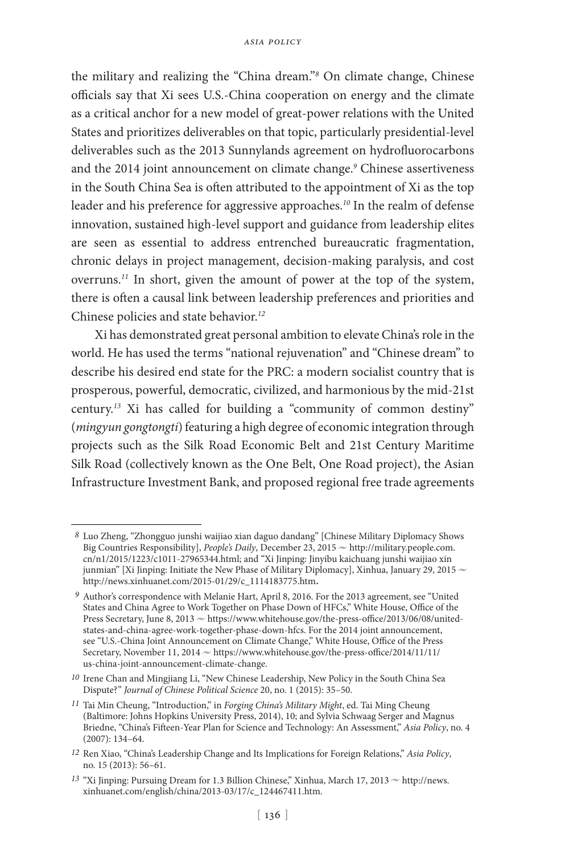the military and realizing the "China dream."*<sup>8</sup>* On climate change, Chinese officials say that Xi sees U.S.-China cooperation on energy and the climate as a critical anchor for a new model of great-power relations with the United States and prioritizes deliverables on that topic, particularly presidential-level deliverables such as the 2013 Sunnylands agreement on hydrofluorocarbons and the 2014 joint announcement on climate change.*<sup>9</sup>* Chinese assertiveness in the South China Sea is often attributed to the appointment of Xi as the top leader and his preference for aggressive approaches.*<sup>10</sup>* In the realm of defense innovation, sustained high-level support and guidance from leadership elites are seen as essential to address entrenched bureaucratic fragmentation, chronic delays in project management, decision-making paralysis, and cost overruns.*<sup>11</sup>* In short, given the amount of power at the top of the system, there is often a causal link between leadership preferences and priorities and Chinese policies and state behavior.*<sup>12</sup>*

Xi has demonstrated great personal ambition to elevate China's role in the world. He has used the terms "national rejuvenation" and "Chinese dream" to describe his desired end state for the PRC: a modern socialist country that is prosperous, powerful, democratic, civilized, and harmonious by the mid-21st century.*<sup>13</sup>* Xi has called for building a "community of common destiny" (*mingyun gongtongti*) featuring a high degree of economic integration through projects such as the Silk Road Economic Belt and 21st Century Maritime Silk Road (collectively known as the One Belt, One Road project), the Asian Infrastructure Investment Bank, and proposed regional free trade agreements

*<sup>8</sup>* Luo Zheng, "Zhongguo junshi waijiao xian daguo dandang" [Chinese Military Diplomacy Shows Big Countries Responsibility], *People's Daily*, December 23, 2015  $\sim$  http://military.people.com. cn/n1/2015/1223/c1011-27965344.html; and "Xi Jinping: Jinyibu kaichuang junshi waijiao xin junmian" [Xi Jinping: Initiate the New Phase of Military Diplomacy], Xinhua, January 29, 2015  $\sim$ [http://news.xinhuanet.com/2015-01/29/c\\_1114183775.htm.](http://news.xinhuanet.com/2015-01/29/c_1114183775.htm)

<sup>&</sup>lt;sup>9</sup> Author's correspondence with Melanie Hart, April 8, 2016. For the 2013 agreement, see "United States and China Agree to Work Together on Phase Down of HFCs," White House, Office of the Press Secretary, June 8, 2013 ~ https://www.whitehouse.gov/the-press-office/2013/06/08/unitedstates-and-china-agree-work-together-phase-down-hfcs. For the 2014 joint announcement, see "U.S.-China Joint Announcement on Climate Change," White House, Office of the Press Secretary, November 11, 2014  $\sim$  https://www.whitehouse.gov/the-press-office/2014/11/11/ us-china-joint-announcement-climate-change.

*<sup>10</sup>* Irene Chan and Mingjiang Li, "New Chinese Leadership, New Policy in the South China Sea Dispute?" *Journal of Chinese Political Science* 20, no. 1 (2015): 35–50.

*<sup>11</sup>* Tai Min Cheung, "Introduction," in *Forging China's Military Might*, ed. Tai Ming Cheung (Baltimore: Johns Hopkins University Press, 2014), 10; and Sylvia Schwaag Serger and Magnus Briedne, "China's Fifteen-Year Plan for Science and Technology: An Assessment," *Asia Policy*, no. 4 (2007): 134–64.

*<sup>12</sup>* Ren Xiao, "China's Leadership Change and Its Implications for Foreign Relations," *Asia Policy*, no. 15 (2013): 56–61.

<sup>&</sup>lt;sup>13</sup> "Xi Jinping: Pursuing Dream for 1.3 Billion Chinese," Xinhua, March 17, 2013  $\sim$  http://news. xinhuanet.com/english/china/2013-03/17/c\_124467411.htm.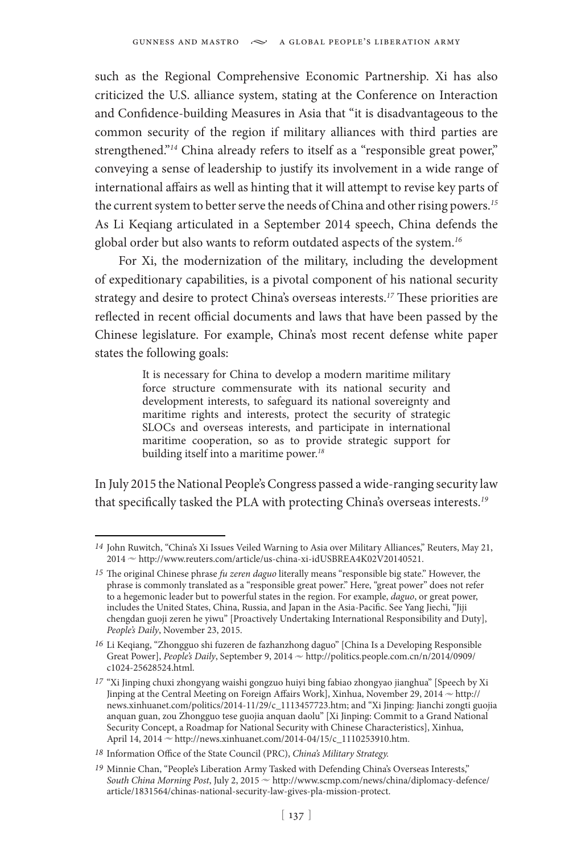such as the Regional Comprehensive Economic Partnership. Xi has also criticized the U.S. alliance system, stating at the Conference on Interaction and Confidence-building Measures in Asia that "it is disadvantageous to the common security of the region if military alliances with third parties are strengthened."<sup>14</sup> China already refers to itself as a "responsible great power," conveying a sense of leadership to justify its involvement in a wide range of international affairs as well as hinting that it will attempt to revise key parts of the current system to better serve the needs of China and other rising powers.*<sup>15</sup>* As Li Keqiang articulated in a September 2014 speech, China defends the global order but also wants to reform outdated aspects of the system.*<sup>16</sup>*

For Xi, the modernization of the military, including the development of expeditionary capabilities, is a pivotal component of his national security strategy and desire to protect China's overseas interests.*<sup>17</sup>* These priorities are reflected in recent official documents and laws that have been passed by the Chinese legislature. For example, China's most recent defense white paper states the following goals:

> It is necessary for China to develop a modern maritime military force structure commensurate with its national security and development interests, to safeguard its national sovereignty and maritime rights and interests, protect the security of strategic SLOCs and overseas interests, and participate in international maritime cooperation, so as to provide strategic support for building itself into a maritime power.*<sup>18</sup>*

In July 2015 the National People's Congress passed a wide-ranging security law that specifically tasked the PLA with protecting China's overseas interests.*<sup>19</sup>*

*<sup>14</sup>* John Ruwitch, "China's Xi Issues Veiled Warning to Asia over Military Alliances," Reuters, May 21, 2014 ~ http://www.reuters.com/article/us-china-xi-idUSBREA4K02V20140521.

*<sup>15</sup>* The original Chinese phrase *fu zeren daguo* literally means "responsible big state." However, the phrase is commonly translated as a "responsible great power." Here, "great power" does not refer to a hegemonic leader but to powerful states in the region. For example, *daguo*, or great power, includes the United States, China, Russia, and Japan in the Asia-Pacific. See Yang Jiechi, "Jiji chengdan guoji zeren he yiwu" [Proactively Undertaking International Responsibility and Duty], *People's Daily*, November 23, 2015.

*<sup>16</sup>* Li Keqiang, "Zhongguo shi fuzeren de fazhanzhong daguo" [China Is a Developing Responsible Great Power], People's Daily, September 9, 2014  $\sim$  http://politics.people.com.cn/n/2014/0909/ c1024-25628524.html.

*<sup>17</sup>* "Xi Jinping chuxi zhongyang waishi gongzuo huiyi bing fabiao zhongyao jianghua" [Speech by Xi Jinping at the Central Meeting on Foreign Affairs Work], Xinhua, November 29, 2014  $\sim$  http:// news.xinhuanet.com/politics/2014-11/29/c\_1113457723.htm; and "Xi Jinping: Jianchi zongti guojia anquan guan, zou Zhongguo tese guojia anquan daolu" [Xi Jinping: Commit to a Grand National Security Concept, a Roadmap for National Security with Chinese Characteristics], Xinhua, April 14, 2014 ~ http://news.xinhuanet.com/2014-04/15/c\_1110253910.htm.

*<sup>18</sup>* Information Office of the State Council (PRC), *China's Military Strategy.*

*<sup>19</sup>* Minnie Chan, "People's Liberation Army Tasked with Defending China's Overseas Interests," South China Morning Post, July 2, 2015  $\sim$  http://www.scmp.com/news/china/diplomacy-defence/ article/1831564/chinas-national-security-law-gives-pla-mission-protect.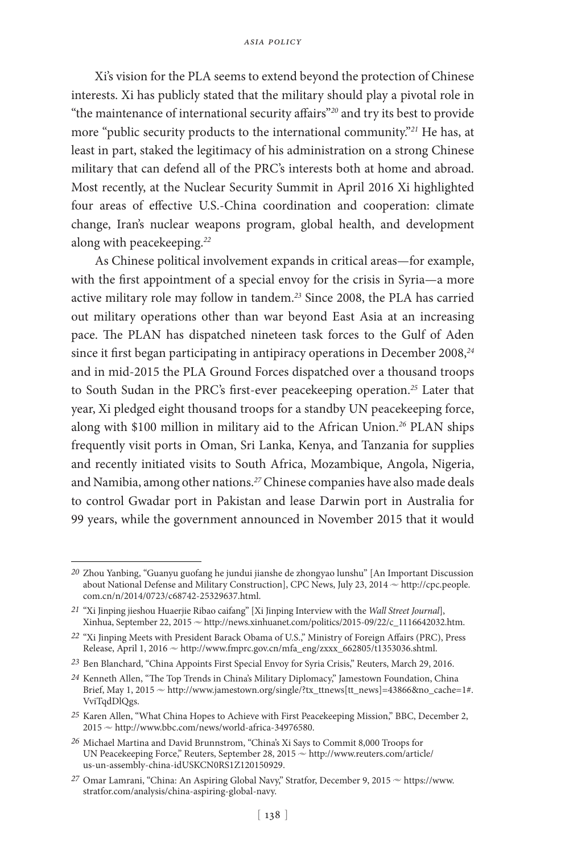Xi's vision for the PLA seems to extend beyond the protection of Chinese interests. Xi has publicly stated that the military should play a pivotal role in "the maintenance of international security affairs"*<sup>20</sup>* and try its best to provide more "public security products to the international community."*<sup>21</sup>* He has, at least in part, staked the legitimacy of his administration on a strong Chinese military that can defend all of the PRC's interests both at home and abroad. Most recently, at the Nuclear Security Summit in April 2016 Xi highlighted four areas of effective U.S.-China coordination and cooperation: climate change, Iran's nuclear weapons program, global health, and development along with peacekeeping.*<sup>22</sup>*

As Chinese political involvement expands in critical areas—for example, with the first appointment of a special envoy for the crisis in Syria—a more active military role may follow in tandem.*<sup>23</sup>* Since 2008, the PLA has carried out military operations other than war beyond East Asia at an increasing pace. The PLAN has dispatched nineteen task forces to the Gulf of Aden since it first began participating in antipiracy operations in December 2008,*<sup>24</sup>* and in mid-2015 the PLA Ground Forces dispatched over a thousand troops to South Sudan in the PRC's first-ever peacekeeping operation.*<sup>25</sup>* Later that year, Xi pledged eight thousand troops for a standby UN peacekeeping force, along with \$100 million in military aid to the African Union.*<sup>26</sup>* PLAN ships frequently visit ports in Oman, Sri Lanka, Kenya, and Tanzania for supplies and recently initiated visits to South Africa, Mozambique, Angola, Nigeria, and Namibia, among other nations.*<sup>27</sup>* Chinese companies have also made deals to control Gwadar port in Pakistan and lease Darwin port in Australia for 99 years, while the government announced in November 2015 that it would

*<sup>20</sup>* Zhou Yanbing, "Guanyu guofang he jundui jianshe de zhongyao lunshu" [An Important Discussion about National Defense and Military Construction], CPC News, July 23, 2014  $\sim$  http://cpc.people. com.cn/n/2014/0723/c68742-25329637.html.

*<sup>21</sup>* "Xi Jinping jieshou Huaerjie Ribao caifang" [Xi Jinping Interview with the *Wall Street Journal*], Xinhua, September 22, 2015  $\sim$  http://news.xinhuanet.com/politics/2015-09/22/c\_1116642032.htm.

*<sup>22</sup>* "Xi Jinping Meets with President Barack Obama of U.S.," Ministry of Foreign Affairs (PRC), Press Release, April 1, 2016  $\sim$  http://www.fmprc.gov.cn/mfa\_eng/zxxx\_662805/t1353036.shtml.

*<sup>23</sup>* Ben Blanchard, "China Appoints First Special Envoy for Syria Crisis," Reuters, March 29, 2016.

*<sup>24</sup>* Kenneth Allen, "The Top Trends in China's Military Diplomacy," Jamestown Foundation, China Brief, May 1, 2015  $\sim$  http://www.jamestown.org/single/?tx\_ttnews[tt\_news]=43866&no\_cache=1#. VviTqdDlQgs.

*<sup>25</sup>* Karen Allen, "What China Hopes to Achieve with First Peacekeeping Mission," BBC, December 2,  $2015 \approx \text{http://www.bbc.com/news/world-africa-34976580.}$ 

*<sup>26</sup>* Michael Martina and David Brunnstrom, "China's Xi Says to Commit 8,000 Troops for UN Peacekeeping Force," Reuters, September 28, 2015  $\sim$  http://www.reuters.com/article/ us-un-assembly-china-idUSKCN0RS1Z120150929.

 $^{27}$  Omar Lamrani, "China: An Aspiring Global Navy," Stratfor, December 9, 2015  $\sim$ https://www. stratfor.com/analysis/china-aspiring-global-navy.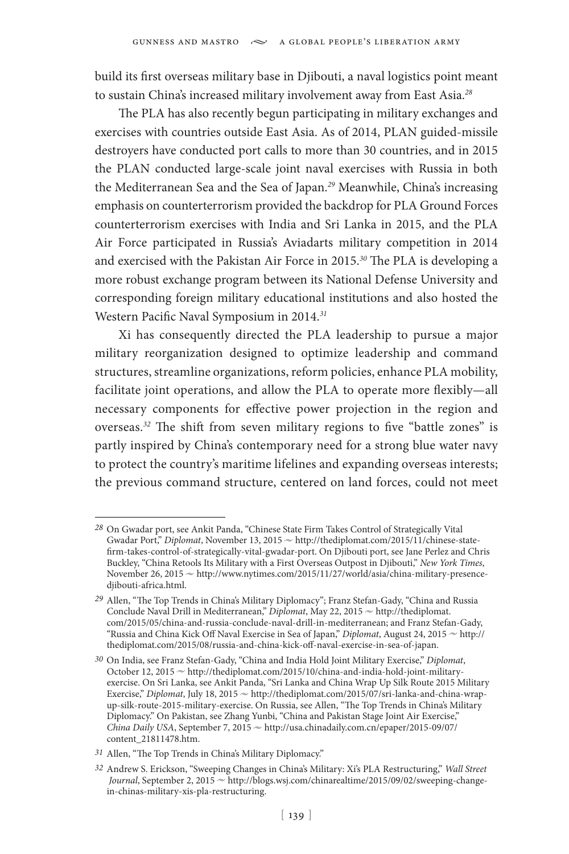build its first overseas military base in Djibouti, a naval logistics point meant to sustain China's increased military involvement away from East Asia.*<sup>28</sup>*

The PLA has also recently begun participating in military exchanges and exercises with countries outside East Asia. As of 2014, PLAN guided-missile destroyers have conducted port calls to more than 30 countries, and in 2015 the PLAN conducted large-scale joint naval exercises with Russia in both the Mediterranean Sea and the Sea of Japan.*<sup>29</sup>* Meanwhile, China's increasing emphasis on counterterrorism provided the backdrop for PLA Ground Forces counterterrorism exercises with India and Sri Lanka in 2015, and the PLA Air Force participated in Russia's Aviadarts military competition in 2014 and exercised with the Pakistan Air Force in 2015.*<sup>30</sup>* The PLA is developing a more robust exchange program between its National Defense University and corresponding foreign military educational institutions and also hosted the Western Pacific Naval Symposium in 2014.*<sup>31</sup>*

Xi has consequently directed the PLA leadership to pursue a major military reorganization designed to optimize leadership and command structures, streamline organizations, reform policies, enhance PLA mobility, facilitate joint operations, and allow the PLA to operate more flexibly—all necessary components for effective power projection in the region and overseas.*<sup>32</sup>* The shift from seven military regions to five "battle zones" is partly inspired by China's contemporary need for a strong blue water navy to protect the country's maritime lifelines and expanding overseas interests; the previous command structure, centered on land forces, could not meet

*<sup>28</sup>* On Gwadar port, see Ankit Panda, "Chinese State Firm Takes Control of Strategically Vital Gwadar Port," *Diplomat*, November 13, 2015 ~ http://thediplomat.com/2015/11/chinese-statefirm-takes-control-of-strategically-vital-gwadar-port. On Djibouti port, see Jane Perlez and Chris Buckley, "China Retools Its Military with a First Overseas Outpost in Djibouti," *New York Times*, November 26, 2015 ~ http://www.nytimes.com/2015/11/27/world/asia/china-military-presencedjibouti-africa.html.

*<sup>29</sup>* Allen, "The Top Trends in China's Military Diplomacy"; Franz Stefan-Gady, "China and Russia Conclude Naval Drill in Mediterranean," *Diplomat*, May 22, 2015  $\sim$  http://thediplomat. com/2015/05/china-and-russia-conclude-naval-drill-in-mediterranean; and Franz Stefan-Gady, "Russia and China Kick Off Naval Exercise in Sea of Japan," *Diplomat*, August 24, 2015  $\sim$  http:// thediplomat.com/2015/08/russia-and-china-kick-off-naval-exercise-in-sea-of-japan.

*<sup>30</sup>* On India, see Franz Stefan-Gady, "China and India Hold Joint Military Exercise," *Diplomat*, October 12, 2015  $\sim$  http://thediplomat.com/2015/10/china-and-india-hold-joint-militaryexercise. On Sri Lanka, see Ankit Panda, "Sri Lanka and China Wrap Up Silk Route 2015 Military Exercise," *Diplomat*, July 18, 2015  $\sim$  http://thediplomat.com/2015/07/sri-lanka-and-china-wrapup-silk-route-2015-military-exercise. On Russia, see Allen, "The Top Trends in China's Military Diplomacy." On Pakistan, see Zhang Yunbi, "China and Pakistan Stage Joint Air Exercise," *China Daily USA*, September 7, 2015  $\sim$  http://usa.chinadaily.com.cn/epaper/2015-09/07/ content\_21811478.htm.

*<sup>31</sup>* Allen, "The Top Trends in China's Military Diplomacy."

*<sup>32</sup>* Andrew S. Erickson, "Sweeping Changes in China's Military: Xi's PLA Restructuring," *Wall Street Journal*, September 2, 2015  $\sim$  http://blogs.wsj.com/chinarealtime/2015/09/02/sweeping-changein-chinas-military-xis-pla-restructuring.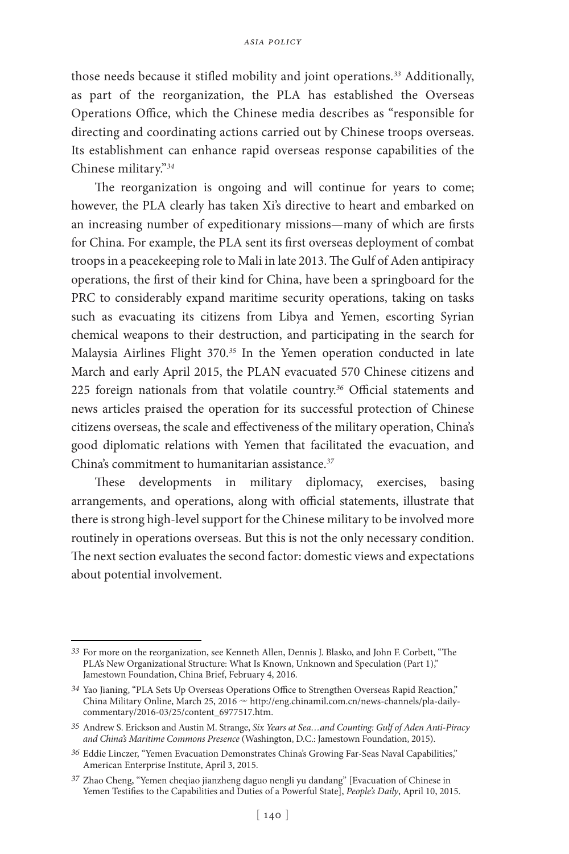those needs because it stifled mobility and joint operations.*<sup>33</sup>* Additionally, as part of the reorganization, the PLA has established the Overseas Operations Office, which the Chinese media describes as "responsible for directing and coordinating actions carried out by Chinese troops overseas. Its establishment can enhance rapid overseas response capabilities of the Chinese military."*<sup>34</sup>*

The reorganization is ongoing and will continue for years to come; however, the PLA clearly has taken Xi's directive to heart and embarked on an increasing number of expeditionary missions—many of which are firsts for China. For example, the PLA sent its first overseas deployment of combat troops in a peacekeeping role to Mali in late 2013. The Gulf of Aden antipiracy operations, the first of their kind for China, have been a springboard for the PRC to considerably expand maritime security operations, taking on tasks such as evacuating its citizens from Libya and Yemen, escorting Syrian chemical weapons to their destruction, and participating in the search for Malaysia Airlines Flight 370.*<sup>35</sup>* In the Yemen operation conducted in late March and early April 2015, the PLAN evacuated 570 Chinese citizens and 225 foreign nationals from that volatile country.*<sup>36</sup>* Official statements and news articles praised the operation for its successful protection of Chinese citizens overseas, the scale and effectiveness of the military operation, China's good diplomatic relations with Yemen that facilitated the evacuation, and China's commitment to humanitarian assistance.*<sup>37</sup>*

These developments in military diplomacy, exercises, basing arrangements, and operations, along with official statements, illustrate that there is strong high-level support for the Chinese military to be involved more routinely in operations overseas. But this is not the only necessary condition. The next section evaluates the second factor: domestic views and expectations about potential involvement.

*<sup>33</sup>* For more on the reorganization, see Kenneth Allen, Dennis J. Blasko, and John F. Corbett, "The PLA's New Organizational Structure: What Is Known, Unknown and Speculation (Part 1)," Jamestown Foundation, China Brief, February 4, 2016.

*<sup>34</sup>* Yao Jianing, "PLA Sets Up Overseas Operations Office to Strengthen Overseas Rapid Reaction," China Military Online, March 25, 2016  $\sim$  http://eng.chinamil.com.cn/news-channels/pla-dailycommentary/2016-03/25/content\_6977517.htm.

*<sup>35</sup>* Andrew S. Erickson and Austin M. Strange, *[Six Years at Sea…and Counting: Gulf of Aden Anti-Piracy](http://www.amazon.com/China-Gulf-Aden-Andrew-Erickson/dp/0985504501/ref=la_B001JP451A_1_1?s=books&ie=UTF8&qid=1423762463&sr=1-1)  [and China's Maritime Commons Presence](http://www.amazon.com/China-Gulf-Aden-Andrew-Erickson/dp/0985504501/ref=la_B001JP451A_1_1?s=books&ie=UTF8&qid=1423762463&sr=1-1)* (Washington, D.C.: [Jamestown Foundation](http://www.jamestown.org/programs/chinabrief/single/?tx_ttnews%5Btt_news%5D=44181&tx_ttnews%5BbackPid%5D=25&cHash=9730f8b6d0d3eb2ad5b99ad6418b5ccb), 2015).

*<sup>36</sup>* Eddie Linczer, "Yemen Evacuation Demonstrates China's Growing Far-Seas Naval Capabilities," American Enterprise Institute, April 3, 2015.

*<sup>37</sup>* Zhao Cheng, "Yemen cheqiao jianzheng daguo nengli yu dandang" [Evacuation of Chinese in Yemen Testifies to the Capabilities and Duties of a Powerful State], *People's Daily*, April 10, 2015.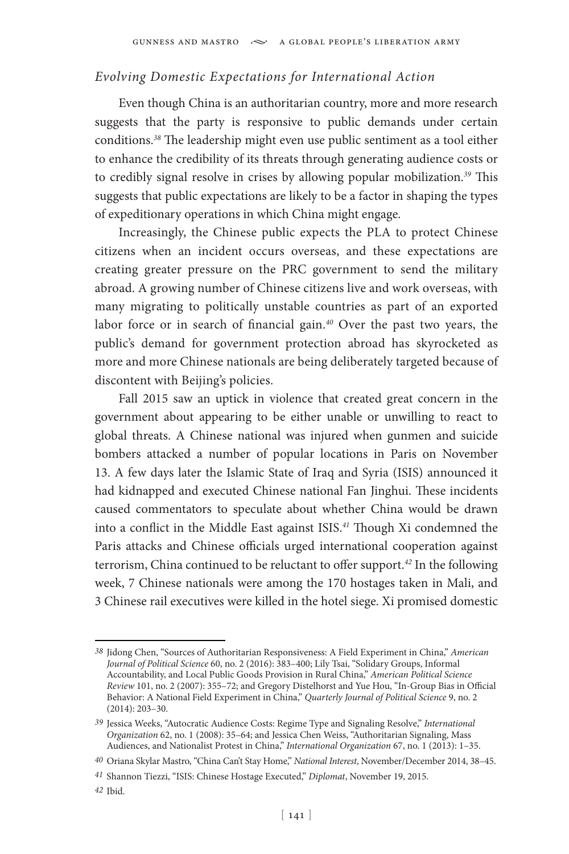## *Evolving Domestic Expectations for International Action*

Even though China is an authoritarian country, more and more research suggests that the party is responsive to public demands under certain conditions.*<sup>38</sup>* The leadership might even use public sentiment as a tool either to enhance the credibility of its threats through generating audience costs or to credibly signal resolve in crises by allowing popular mobilization.*<sup>39</sup>* This suggests that public expectations are likely to be a factor in shaping the types of expeditionary operations in which China might engage.

Increasingly, the Chinese public expects the PLA to protect Chinese citizens when an incident occurs overseas, and these expectations are creating greater pressure on the PRC government to send the military abroad. A growing number of Chinese citizens live and work overseas, with many migrating to politically unstable countries as part of an exported labor force or in search of financial gain.*<sup>40</sup>* Over the past two years, the public's demand for government protection abroad has skyrocketed as more and more Chinese nationals are being deliberately targeted because of discontent with Beijing's policies.

Fall 2015 saw an uptick in violence that created great concern in the government about appearing to be either unable or unwilling to react to global threats. A Chinese national was injured when gunmen and suicide bombers attacked a number of popular locations in Paris on November 13. A few days later the Islamic State of Iraq and Syria (ISIS) announced it had kidnapped and executed Chinese national Fan Jinghui. These incidents caused commentators to speculate about whether China would be drawn into a conflict in the Middle East against ISIS.*<sup>41</sup>* Though Xi condemned the Paris attacks and Chinese officials urged international cooperation against terrorism, China continued to be reluctant to offer support.*<sup>42</sup>* In the following week, 7 Chinese nationals were among the 170 hostages taken in Mali, and 3 Chinese rail executives were killed in the hotel siege. Xi promised domestic

*40* Oriana Skylar Mastro, "China Can't Stay Home," *National Interest*, November/December 2014, 38–45.

*<sup>38</sup>* Jidong Chen, "Sources of Authoritarian Responsiveness: A Field Experiment in China," *American Journal of Political Science* 60, no. 2 (2016): 383–400; Lily Tsai, "Solidary Groups, Informal Accountability, and Local Public Goods Provision in Rural China," *American Political Science Review* 101, no. 2 (2007): 355–72; and Gregory Distelhorst and Yue Hou, "In-Group Bias in Official Behavior: A National Field Experiment in China," *Quarterly Journal of Political Science* 9, no. 2 (2014): 203–30.

*<sup>39</sup>* Jessica Weeks, "Autocratic Audience Costs: Regime Type and Signaling Resolve," *International Organization* 62, no. 1 (2008): 35–64; and Jessica Chen Weiss, "Authoritarian Signaling, Mass Audiences, and Nationalist Protest in China," *International Organization* 67, no. 1 (2013): 1–35.

*<sup>41</sup>* Shannon Tiezzi, "ISIS: Chinese Hostage Executed," *Diplomat*, November 19, 2015.

*<sup>42</sup>* Ibid.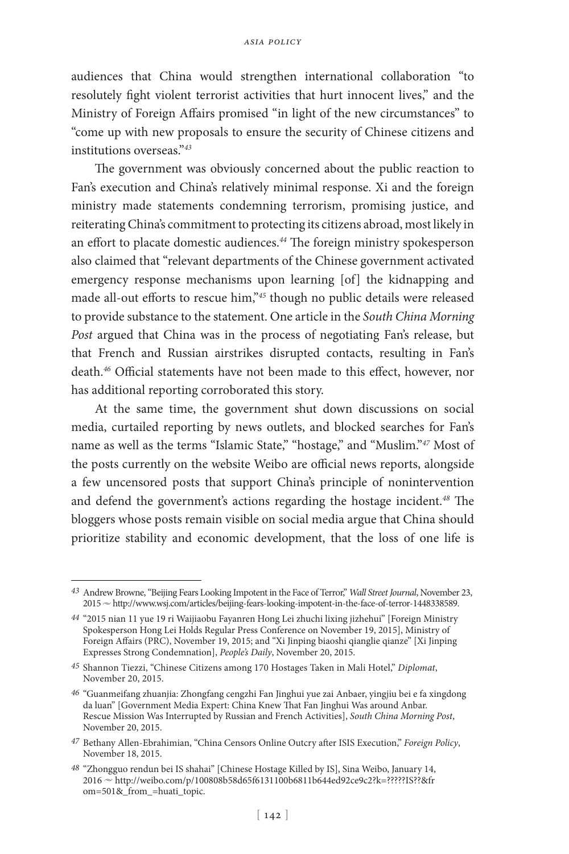audiences that China would strengthen international collaboration "to resolutely fight violent terrorist activities that hurt innocent lives," and the Ministry of Foreign Affairs promised "in light of the new circumstances" to "come up with new proposals to ensure the security of Chinese citizens and institutions overseas."*<sup>43</sup>*

The government was obviously concerned about the public reaction to Fan's execution and China's relatively minimal response. Xi and the foreign ministry made statements condemning terrorism, promising justice, and reiterating China's commitment to protecting its citizens abroad, most likely in an effort to placate domestic audiences.*<sup>44</sup>* The foreign ministry spokesperson also claimed that "relevant departments of the Chinese government activated emergency response mechanisms upon learning [of] the kidnapping and made all-out efforts to rescue him,"*<sup>45</sup>* though no public details were released to provide substance to the statement. One article in the *South China Morning Post* argued that China was in the process of negotiating Fan's release, but that French and Russian airstrikes disrupted contacts, resulting in Fan's death.*<sup>46</sup>* Official statements have not been made to this effect, however, nor has additional reporting corroborated this story.

At the same time, the government shut down discussions on social media, curtailed reporting by news outlets, and blocked searches for Fan's name as well as the terms "Islamic State," "hostage," and "Muslim."*<sup>47</sup>* Most of the posts currently on the website Weibo are official news reports, alongside a few uncensored posts that support China's principle of nonintervention and defend the government's actions regarding the hostage incident.*<sup>48</sup>* The bloggers whose posts remain visible on social media argue that China should prioritize stability and economic development, that the loss of one life is

*<sup>43</sup>* Andrew Browne, "Beijing Fears Looking Impotent in the Face of Terror," *Wall Street Journal*, November 23, 2015 ~ http://www.wsj.com/articles/beijing-fears-looking-impotent-in-the-face-of-terror-1448338589.

*<sup>44</sup>* "2015 nian 11 yue 19 ri Waijiaobu Fayanren Hong Lei zhuchi lixing jizhehui" [Foreign Ministry Spokesperson Hong Lei Holds Regular Press Conference on November 19, 2015], Ministry of Foreign Affairs (PRC), November 19, 2015; and "Xi Jinping biaoshi qianglie qianze" [Xi Jinping Expresses Strong Condemnation], *People's Daily*, November 20, 2015.

*<sup>45</sup>* Shannon Tiezzi, "Chinese Citizens among 170 Hostages Taken in Mali Hotel," *Diplomat*, November 20, 2015.

*<sup>46</sup>* "Guanmeifang zhuanjia: Zhongfang cengzhi Fan Jinghui yue zai Anbaer, yingjiu bei e fa xingdong da luan" [Government Media Expert: China Knew That Fan Jinghui Was around Anbar. Rescue Mission Was Interrupted by Russian and French Activities], *South China Morning Post*, November 20, 2015.

*<sup>47</sup>* Bethany Allen-Ebrahimian, "China Censors Online Outcry after ISIS Execution," *Foreign Policy*, November 18, 2015.

*<sup>48</sup>* "Zhongguo rendun bei IS shahai" [Chinese Hostage Killed by IS], Sina Weibo, January 14, 2016 u http://weibo.com/p/100808b58d65f6131100b6811b644ed92ce9c2?k=?????IS??&fr om=501&\_from\_=huati\_topic.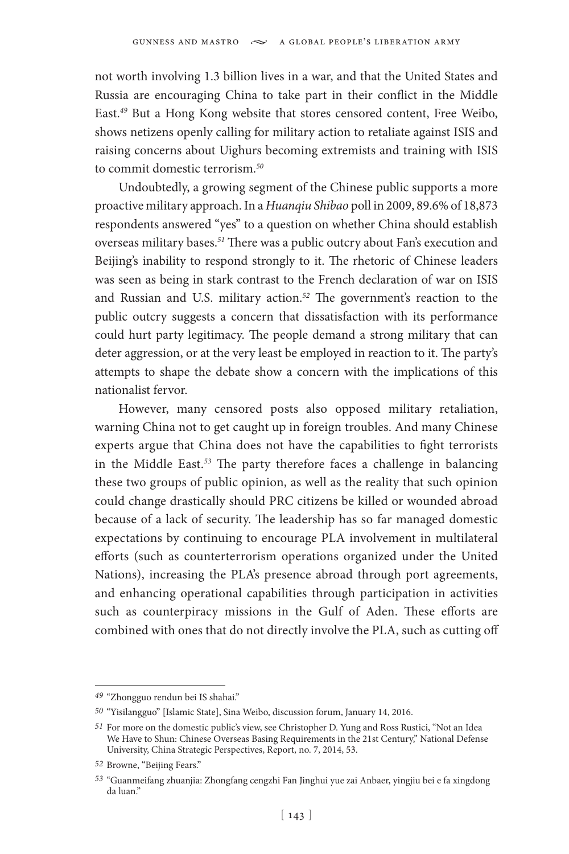not worth involving 1.3 billion lives in a war, and that the United States and Russia are encouraging China to take part in their conflict in the Middle East.*<sup>49</sup>* But a Hong Kong website that stores censored content, Free Weibo, shows netizens openly calling for military action to retaliate against ISIS and raising concerns about Uighurs becoming extremists and training with ISIS to commit domestic terrorism.*<sup>50</sup>*

Undoubtedly, a growing segment of the Chinese public supports a more proactive military approach. In a *Huanqiu Shibao* poll in 2009, 89.6% of 18,873 respondents answered "yes" to a question on whether China should establish overseas military bases.*<sup>51</sup>* There was a public outcry about Fan's execution and Beijing's inability to respond strongly to it. The rhetoric of Chinese leaders was seen as being in stark contrast to the French declaration of war on ISIS and Russian and U.S. military action.*<sup>52</sup>* The government's reaction to the public outcry suggests a concern that dissatisfaction with its performance could hurt party legitimacy. The people demand a strong military that can deter aggression, or at the very least be employed in reaction to it. The party's attempts to shape the debate show a concern with the implications of this nationalist fervor.

However, many censored posts also opposed military retaliation, warning China not to get caught up in foreign troubles. And many Chinese experts argue that China does not have the capabilities to fight terrorists in the Middle East.*<sup>53</sup>* The party therefore faces a challenge in balancing these two groups of public opinion, as well as the reality that such opinion could change drastically should PRC citizens be killed or wounded abroad because of a lack of security. The leadership has so far managed domestic expectations by continuing to encourage PLA involvement in multilateral efforts (such as counterterrorism operations organized under the United Nations), increasing the PLA's presence abroad through port agreements, and enhancing operational capabilities through participation in activities such as counterpiracy missions in the Gulf of Aden. These efforts are combined with ones that do not directly involve the PLA, such as cutting off

*<sup>49</sup>* "Zhongguo rendun bei IS shahai."

*<sup>50</sup>* "Yisilangguo" [Islamic State], Sina Weibo, discussion forum, January 14, 2016.

*<sup>51</sup>* For more on the domestic public's view, see Christopher D. Yung and Ross Rustici, "Not an Idea We Have to Shun: Chinese Overseas Basing Requirements in the 21st Century," National Defense University, China Strategic Perspectives, Report, no. 7, 2014, 53.

*<sup>52</sup>* Browne, "Beijing Fears."

*<sup>53</sup>* "Guanmeifang zhuanjia: Zhongfang cengzhi Fan Jinghui yue zai Anbaer, yingjiu bei e fa xingdong da luan."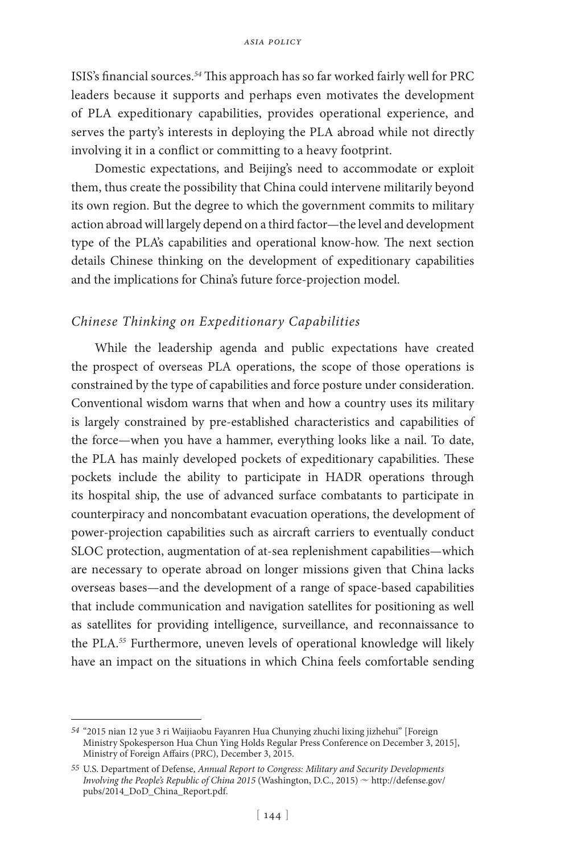ISIS's financial sources.*<sup>54</sup>* This approach has so far worked fairly well for PRC leaders because it supports and perhaps even motivates the development of PLA expeditionary capabilities, provides operational experience, and serves the party's interests in deploying the PLA abroad while not directly involving it in a conflict or committing to a heavy footprint.

Domestic expectations, and Beijing's need to accommodate or exploit them, thus create the possibility that China could intervene militarily beyond its own region. But the degree to which the government commits to military action abroad will largely depend on a third factor—the level and development type of the PLA's capabilities and operational know-how. The next section details Chinese thinking on the development of expeditionary capabilities and the implications for China's future force-projection model.

## *Chinese Thinking on Expeditionary Capabilities*

While the leadership agenda and public expectations have created the prospect of overseas PLA operations, the scope of those operations is constrained by the type of capabilities and force posture under consideration. Conventional wisdom warns that when and how a country uses its military is largely constrained by pre-established characteristics and capabilities of the force—when you have a hammer, everything looks like a nail. To date, the PLA has mainly developed pockets of expeditionary capabilities. These pockets include the ability to participate in HADR operations through its hospital ship, the use of advanced surface combatants to participate in counterpiracy and noncombatant evacuation operations, the development of power-projection capabilities such as aircraft carriers to eventually conduct SLOC protection, augmentation of at-sea replenishment capabilities—which are necessary to operate abroad on longer missions given that China lacks overseas bases—and the development of a range of space-based capabilities that include communication and navigation satellites for positioning as well as satellites for providing intelligence, surveillance, and reconnaissance to the PLA.*<sup>55</sup>* Furthermore, uneven levels of operational knowledge will likely have an impact on the situations in which China feels comfortable sending

*<sup>54</sup>* "2015 nian 12 yue 3 ri Waijiaobu Fayanren Hua Chunying zhuchi lixing jizhehui" [Foreign Ministry Spokesperson Hua Chun Ying Holds Regular Press Conference on December 3, 2015], Ministry of Foreign Affairs (PRC), December 3, 2015.

*<sup>55</sup>* U.S. Department of Defense, *Annual Report to Congress: Military and Security Developments Involving the People's Republic of China 2015* (Washington, D.C., 2015)  $\sim$  http://defense.gov/ pubs/2014\_DoD\_China\_Report.pdf.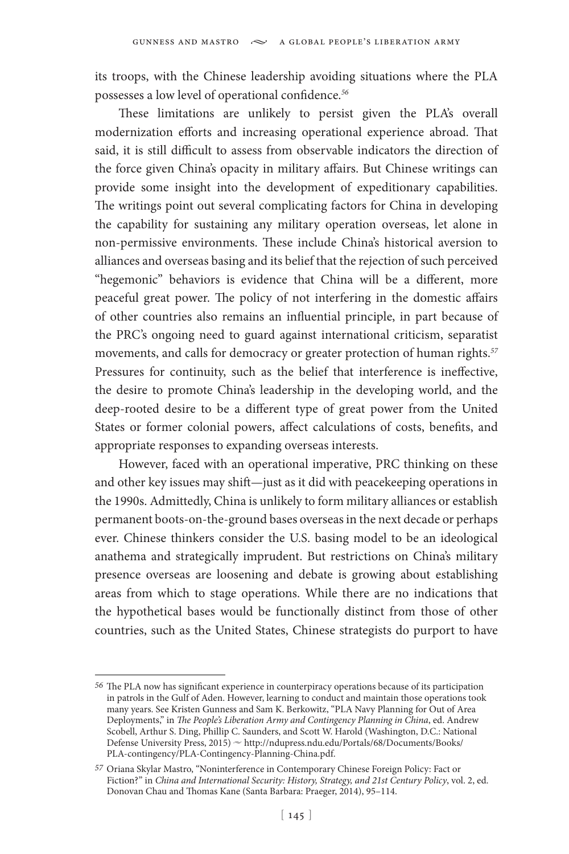its troops, with the Chinese leadership avoiding situations where the PLA possesses a low level of operational confidence.*<sup>56</sup>*

These limitations are unlikely to persist given the PLA's overall modernization efforts and increasing operational experience abroad. That said, it is still difficult to assess from observable indicators the direction of the force given China's opacity in military affairs. But Chinese writings can provide some insight into the development of expeditionary capabilities. The writings point out several complicating factors for China in developing the capability for sustaining any military operation overseas, let alone in non-permissive environments. These include China's historical aversion to alliances and overseas basing and its belief that the rejection of such perceived "hegemonic" behaviors is evidence that China will be a different, more peaceful great power. The policy of not interfering in the domestic affairs of other countries also remains an influential principle, in part because of the PRC's ongoing need to guard against international criticism, separatist movements, and calls for democracy or greater protection of human rights.*<sup>57</sup>* Pressures for continuity, such as the belief that interference is ineffective, the desire to promote China's leadership in the developing world, and the deep-rooted desire to be a different type of great power from the United States or former colonial powers, affect calculations of costs, benefits, and appropriate responses to expanding overseas interests.

However, faced with an operational imperative, PRC thinking on these and other key issues may shift—just as it did with peacekeeping operations in the 1990s. Admittedly, China is unlikely to form military alliances or establish permanent boots-on-the-ground bases overseas in the next decade or perhaps ever. Chinese thinkers consider the U.S. basing model to be an ideological anathema and strategically imprudent. But restrictions on China's military presence overseas are loosening and debate is growing about establishing areas from which to stage operations. While there are no indications that the hypothetical bases would be functionally distinct from those of other countries, such as the United States, Chinese strategists do purport to have

*<sup>56</sup>* The PLA now has significant experience in counterpiracy operations because of its participation in patrols in the Gulf of Aden. However, learning to conduct and maintain those operations took many years. See Kristen Gunness and Sam K. Berkowitz, "PLA Navy Planning for Out of Area Deployments," in *The People's Liberation Army and Contingency Planning in China*, ed. Andrew Scobell, Arthur S. Ding, Phillip C. Saunders, and Scott W. Harold (Washington, D.C.: National Defense University Press, 2015)  $\sim$  http://ndupress.ndu.edu/Portals/68/Documents/Books/ PLA-contingency/PLA-Contingency-Planning-China.pdf.

*<sup>57</sup>* Oriana Skylar Mastro, "Noninterference in Contemporary Chinese Foreign Policy: Fact or Fiction?" in *China and International Security: History, Strategy, and 21st Century Policy*, vol. 2, ed. Donovan Chau and Thomas Kane (Santa Barbara: Praeger, 2014), 95–114.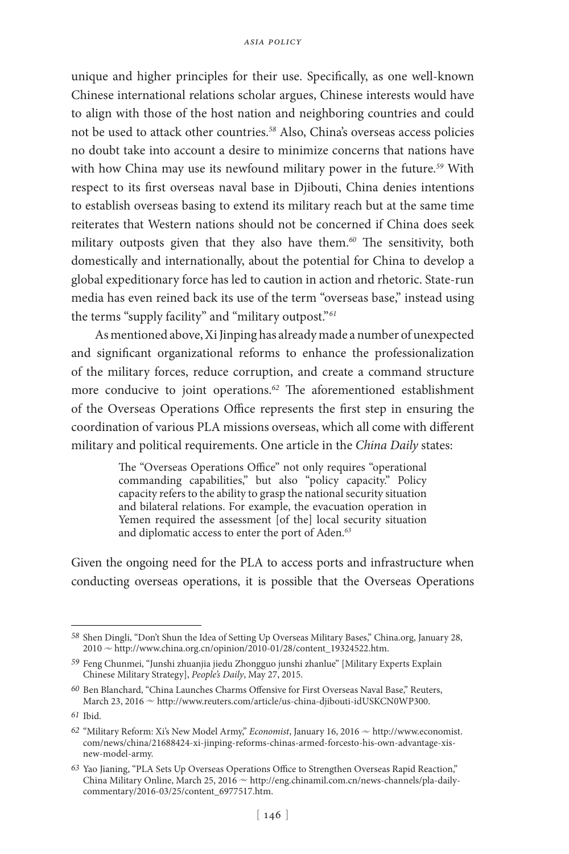unique and higher principles for their use. Specifically, as one well-known Chinese international relations scholar argues, Chinese interests would have to align with those of the host nation and neighboring countries and could not be used to attack other countries.*<sup>58</sup>* Also, China's overseas access policies no doubt take into account a desire to minimize concerns that nations have with how China may use its newfound military power in the future.*<sup>59</sup>* With respect to its first overseas naval base in Djibouti, China denies intentions to establish overseas basing to extend its military reach but at the same time reiterates that Western nations should not be concerned if China does seek military outposts given that they also have them.*<sup>60</sup>* The sensitivity, both domestically and internationally, about the potential for China to develop a global expeditionary force has led to caution in action and rhetoric. State-run media has even reined back its use of the term "overseas base," instead using the terms "supply facility" and "military outpost."*<sup>61</sup>*

As mentioned above, Xi Jinping has already made a number of unexpected and significant organizational reforms to enhance the professionalization of the military forces, reduce corruption, and create a command structure more conducive to joint operations.*<sup>62</sup>* The aforementioned establishment of the Overseas Operations Office represents the first step in ensuring the coordination of various PLA missions overseas, which all come with different military and political requirements. One article in the *China Daily* states:

> The "Overseas Operations Office" not only requires "operational commanding capabilities," but also "policy capacity." Policy capacity refers to the ability to grasp the national security situation and bilateral relations. For example, the evacuation operation in Yemen required the assessment [of the] local security situation and diplomatic access to enter the port of Aden.*<sup>63</sup>*

Given the ongoing need for the PLA to access ports and infrastructure when conducting overseas operations, it is possible that the Overseas Operations

*<sup>58</sup>* Shen Dingli, "Don't Shun the Idea of Setting Up Overseas Military Bases," China.org, January 28,  $2010 \approx$  http://www.china.org.cn/opinion/2010-01/28/content\_19324522.htm.

*<sup>59</sup>* Feng Chunmei, "Junshi zhuanjia jiedu Zhongguo junshi zhanlue" [Military Experts Explain Chinese Military Strategy], *People's Daily*, May 27, 2015.

*<sup>60</sup>* Ben Blanchard, "China Launches Charms Offensive for First Overseas Naval Base," Reuters, March 23, 2016  $\sim$  http://www.reuters.com/article/us-china-djibouti-idUSKCN0WP300.

*<sup>61</sup>* Ibid.

*<sup>62</sup>* "Military Reform: Xi's New Model Army," *Economist*, January 16, 2016  $\sim$  http://www.economist. com/news/china/21688424-xi-jinping-reforms-chinas-armed-forcesto-his-own-advantage-xisnew-model-army.

*<sup>63</sup>* Yao Jianing, "PLA Sets Up Overseas Operations Office to Strengthen Overseas Rapid Reaction," China Military Online, March 25, 2016  $\sim$  http://eng.chinamil.com.cn/news-channels/pla-dailycommentary/2016-03/25/content\_6977517.htm.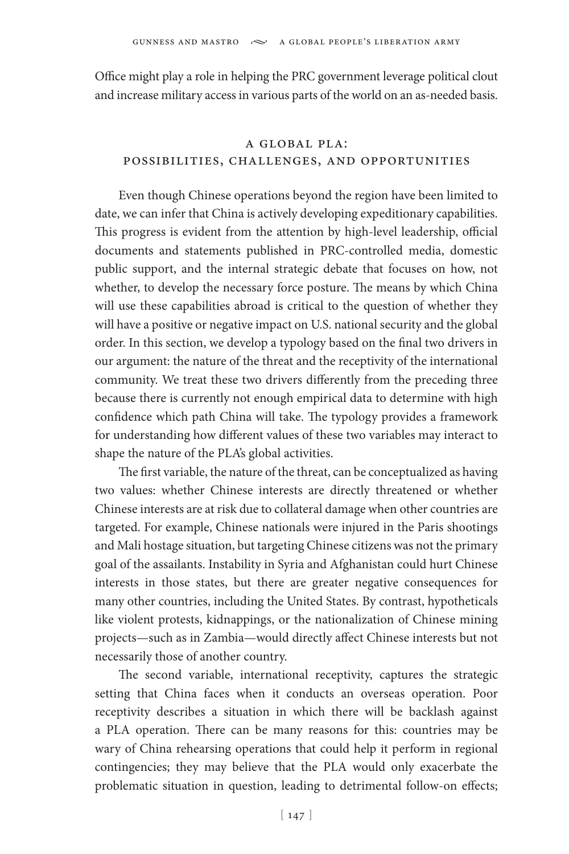Office might play a role in helping the PRC government leverage political clout and increase military access in various parts of the world on an as-needed basis.

## a global pla: possibilities, challenges, and opportunities

Even though Chinese operations beyond the region have been limited to date, we can infer that China is actively developing expeditionary capabilities. This progress is evident from the attention by high-level leadership, official documents and statements published in PRC-controlled media, domestic public support, and the internal strategic debate that focuses on how, not whether, to develop the necessary force posture. The means by which China will use these capabilities abroad is critical to the question of whether they will have a positive or negative impact on U.S. national security and the global order. In this section, we develop a typology based on the final two drivers in our argument: the nature of the threat and the receptivity of the international community. We treat these two drivers differently from the preceding three because there is currently not enough empirical data to determine with high confidence which path China will take. The typology provides a framework for understanding how different values of these two variables may interact to shape the nature of the PLA's global activities.

The first variable, the nature of the threat, can be conceptualized as having two values: whether Chinese interests are directly threatened or whether Chinese interests are at risk due to collateral damage when other countries are targeted. For example, Chinese nationals were injured in the Paris shootings and Mali hostage situation, but targeting Chinese citizens was not the primary goal of the assailants. Instability in Syria and Afghanistan could hurt Chinese interests in those states, but there are greater negative consequences for many other countries, including the United States. By contrast, hypotheticals like violent protests, kidnappings, or the nationalization of Chinese mining projects—such as in Zambia—would directly affect Chinese interests but not necessarily those of another country.

The second variable, international receptivity, captures the strategic setting that China faces when it conducts an overseas operation. Poor receptivity describes a situation in which there will be backlash against a PLA operation. There can be many reasons for this: countries may be wary of China rehearsing operations that could help it perform in regional contingencies; they may believe that the PLA would only exacerbate the problematic situation in question, leading to detrimental follow-on effects;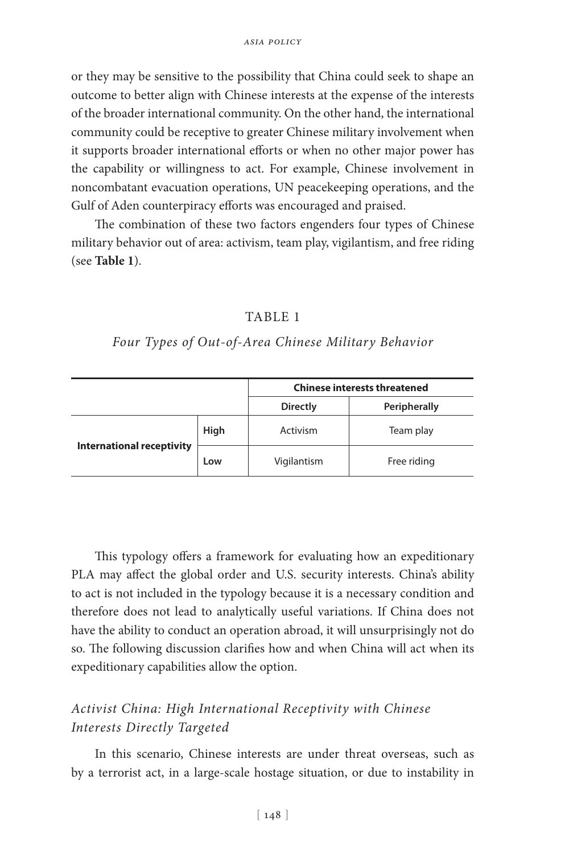or they may be sensitive to the possibility that China could seek to shape an outcome to better align with Chinese interests at the expense of the interests of the broader international community. On the other hand, the international community could be receptive to greater Chinese military involvement when it supports broader international efforts or when no other major power has the capability or willingness to act. For example, Chinese involvement in noncombatant evacuation operations, UN peacekeeping operations, and the Gulf of Aden counterpiracy efforts was encouraged and praised.

The combination of these two factors engenders four types of Chinese military behavior out of area: activism, team play, vigilantism, and free riding (see **Table 1**).

## TABLE 1

## *Four Types of Out-of-Area Chinese Military Behavior*

|                                  |      | <b>Chinese interests threatened</b> |              |
|----------------------------------|------|-------------------------------------|--------------|
|                                  |      | <b>Directly</b>                     | Peripherally |
| <b>International receptivity</b> | High | Activism                            | Team play    |
|                                  | Low  | Vigilantism                         | Free riding  |

This typology offers a framework for evaluating how an expeditionary PLA may affect the global order and U.S. security interests. China's ability to act is not included in the typology because it is a necessary condition and therefore does not lead to analytically useful variations. If China does not have the ability to conduct an operation abroad, it will unsurprisingly not do so. The following discussion clarifies how and when China will act when its expeditionary capabilities allow the option.

## *Activist China: High International Receptivity with Chinese Interests Directly Targeted*

In this scenario, Chinese interests are under threat overseas, such as by a terrorist act, in a large-scale hostage situation, or due to instability in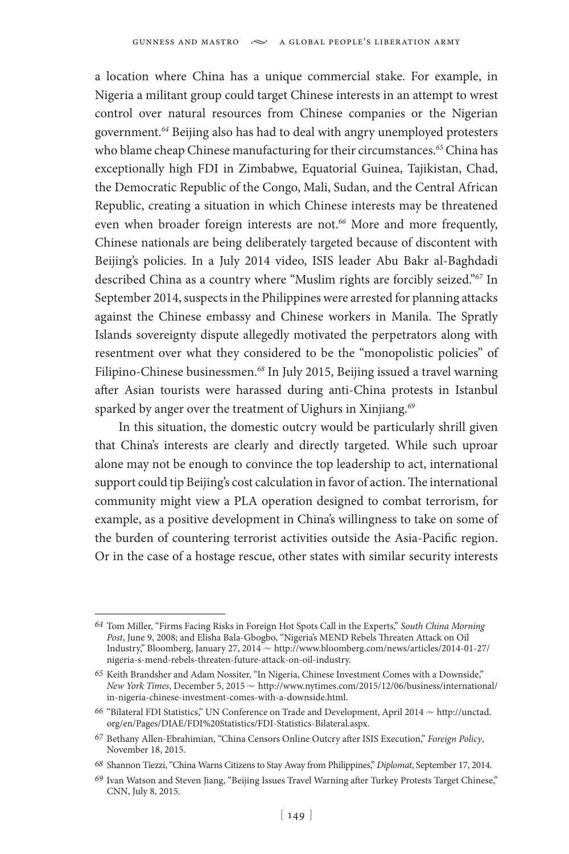a location where China has a unique commercial stake. For example, in Nigeria a militant group could target Chinese interests in an attempt to wrest control over natural resources from Chinese companies or the Nigerian government.*<sup>64</sup>* Beijing also has had to deal with angry unemployed protesters who blame cheap Chinese manufacturing for their circumstances.*<sup>65</sup>* China has exceptionally high FDI in Zimbabwe, Equatorial Guinea, Tajikistan, Chad, the Democratic Republic of the Congo, Mali, Sudan, and the Central African Republic, creating a situation in which Chinese interests may be threatened even when broader foreign interests are not.*<sup>66</sup>* More and more frequently, Chinese nationals are being deliberately targeted because of discontent with Beijing's policies. In a July 2014 video, ISIS leader Abu Bakr al-Baghdadi described China as a country where "Muslim rights are forcibly seized."*<sup>67</sup>* In September 2014, suspects in the Philippines were arrested for planning attacks against the Chinese embassy and Chinese workers in Manila. The Spratly Islands sovereignty dispute allegedly motivated the perpetrators along with resentment over what they considered to be the "monopolistic policies" of Filipino-Chinese businessmen.*<sup>68</sup>* In July 2015, Beijing issued a travel warning after Asian tourists were harassed during anti-China protests in Istanbul sparked by anger over the treatment of Uighurs in Xinjiang.*<sup>69</sup>*

In this situation, the domestic outcry would be particularly shrill given that China's interests are clearly and directly targeted. While such uproar alone may not be enough to convince the top leadership to act, international support could tip Beijing's cost calculation in favor of action. The international community might view a PLA operation designed to combat terrorism, for example, as a positive development in China's willingness to take on some of the burden of countering terrorist activities outside the Asia-Pacific region. Or in the case of a hostage rescue, other states with similar security interests

*<sup>64</sup>* Tom Miller, "Firms Facing Risks in Foreign Hot Spots Call in the Experts," *South China Morning Post*, June 9, 2008; and Elisha Bala-Gbogbo, "Nigeria's MEND Rebels Threaten Attack on Oil Industry," Bloomberg, January 27, 2014  $\sim$  http://www.bloomberg.com/news/articles/2014-01-27/ nigeria-s-mend-rebels-threaten-future-attack-on-oil-industry.

*<sup>65</sup>* Keith Brandsher and Adam Nossiter, "In Nigeria, Chinese Investment Comes with a Downside," *New York Times*, December 5, 2015 ∼ http://www.nytimes.com/2015/12/06/business/international/ in-nigeria-chinese-investment-comes-with-a-downside.html.

<sup>66 &</sup>quot;Bilateral FDI Statistics," UN Conference on Trade and Development, April 2014  $\sim$  http://unctad. org/en/Pages/DIAE/FDI%20Statistics/FDI-Statistics-Bilateral.aspx.

*<sup>67</sup>* Bethany Allen-Ebrahimian, "China Censors Online Outcry after ISIS Execution," *Foreign Policy*, November 18, 2015.

*<sup>68</sup>* Shannon Tiezzi, "China Warns Citizens to Stay Away from Philippines," *Diplomat*, September 17, 2014.

*<sup>69</sup>* Ivan Watson and Steven Jiang, "Beijing Issues Travel Warning after Turkey Protests Target Chinese," CNN, July 8, 2015.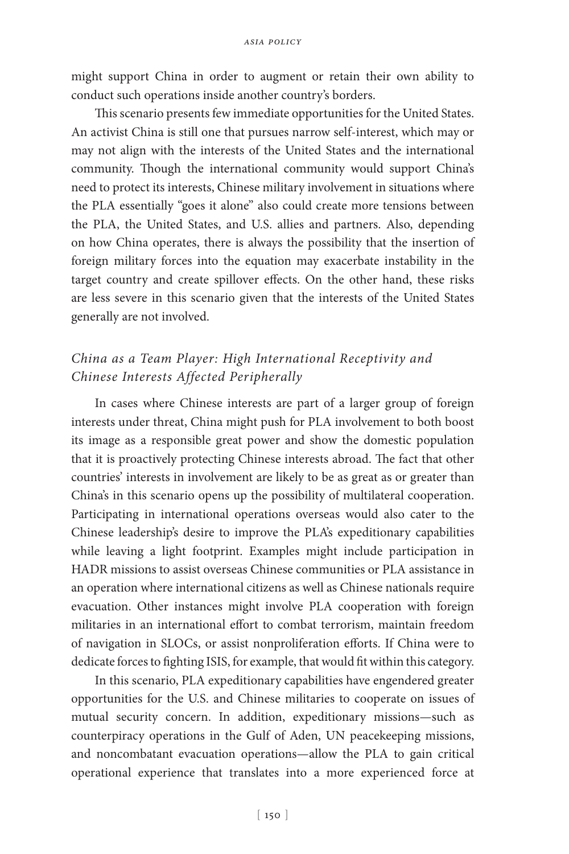might support China in order to augment or retain their own ability to conduct such operations inside another country's borders.

This scenario presents few immediate opportunities for the United States. An activist China is still one that pursues narrow self-interest, which may or may not align with the interests of the United States and the international community. Though the international community would support China's need to protect its interests, Chinese military involvement in situations where the PLA essentially "goes it alone" also could create more tensions between the PLA, the United States, and U.S. allies and partners. Also, depending on how China operates, there is always the possibility that the insertion of foreign military forces into the equation may exacerbate instability in the target country and create spillover effects. On the other hand, these risks are less severe in this scenario given that the interests of the United States generally are not involved.

## *China as a Team Player: High International Receptivity and Chinese Interests Affected Peripherally*

In cases where Chinese interests are part of a larger group of foreign interests under threat, China might push for PLA involvement to both boost its image as a responsible great power and show the domestic population that it is proactively protecting Chinese interests abroad. The fact that other countries' interests in involvement are likely to be as great as or greater than China's in this scenario opens up the possibility of multilateral cooperation. Participating in international operations overseas would also cater to the Chinese leadership's desire to improve the PLA's expeditionary capabilities while leaving a light footprint. Examples might include participation in HADR missions to assist overseas Chinese communities or PLA assistance in an operation where international citizens as well as Chinese nationals require evacuation. Other instances might involve PLA cooperation with foreign militaries in an international effort to combat terrorism, maintain freedom of navigation in SLOCs, or assist nonproliferation efforts. If China were to dedicate forces to fighting ISIS, for example, that would fit within this category.

In this scenario, PLA expeditionary capabilities have engendered greater opportunities for the U.S. and Chinese militaries to cooperate on issues of mutual security concern. In addition, expeditionary missions—such as counterpiracy operations in the Gulf of Aden, UN peacekeeping missions, and noncombatant evacuation operations—allow the PLA to gain critical operational experience that translates into a more experienced force at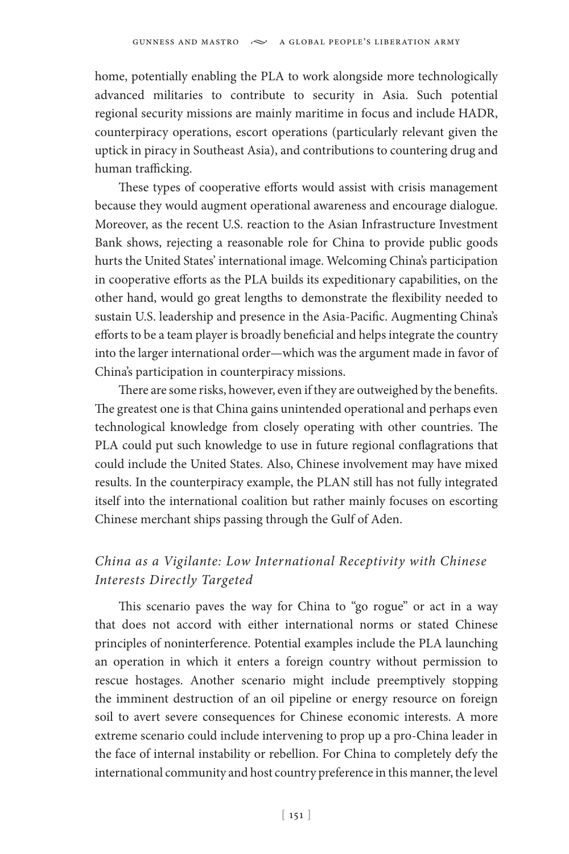home, potentially enabling the PLA to work alongside more technologically advanced militaries to contribute to security in Asia. Such potential regional security missions are mainly maritime in focus and include HADR, counterpiracy operations, escort operations (particularly relevant given the uptick in piracy in Southeast Asia), and contributions to countering drug and human trafficking.

These types of cooperative efforts would assist with crisis management because they would augment operational awareness and encourage dialogue. Moreover, as the recent U.S. reaction to the Asian Infrastructure Investment Bank shows, rejecting a reasonable role for China to provide public goods hurts the United States' international image. Welcoming China's participation in cooperative efforts as the PLA builds its expeditionary capabilities, on the other hand, would go great lengths to demonstrate the flexibility needed to sustain U.S. leadership and presence in the Asia-Pacific. Augmenting China's efforts to be a team player is broadly beneficial and helps integrate the country into the larger international order—which was the argument made in favor of China's participation in counterpiracy missions.

There are some risks, however, even if they are outweighed by the benefits. The greatest one is that China gains unintended operational and perhaps even technological knowledge from closely operating with other countries. The PLA could put such knowledge to use in future regional conflagrations that could include the United States. Also, Chinese involvement may have mixed results. In the counterpiracy example, the PLAN still has not fully integrated itself into the international coalition but rather mainly focuses on escorting Chinese merchant ships passing through the Gulf of Aden.

# *China as a Vigilante: Low International Receptivity with Chinese Interests Directly Targeted*

This scenario paves the way for China to "go rogue" or act in a way that does not accord with either international norms or stated Chinese principles of noninterference. Potential examples include the PLA launching an operation in which it enters a foreign country without permission to rescue hostages. Another scenario might include preemptively stopping the imminent destruction of an oil pipeline or energy resource on foreign soil to avert severe consequences for Chinese economic interests. A more extreme scenario could include intervening to prop up a pro-China leader in the face of internal instability or rebellion. For China to completely defy the international community and host country preference in this manner, the level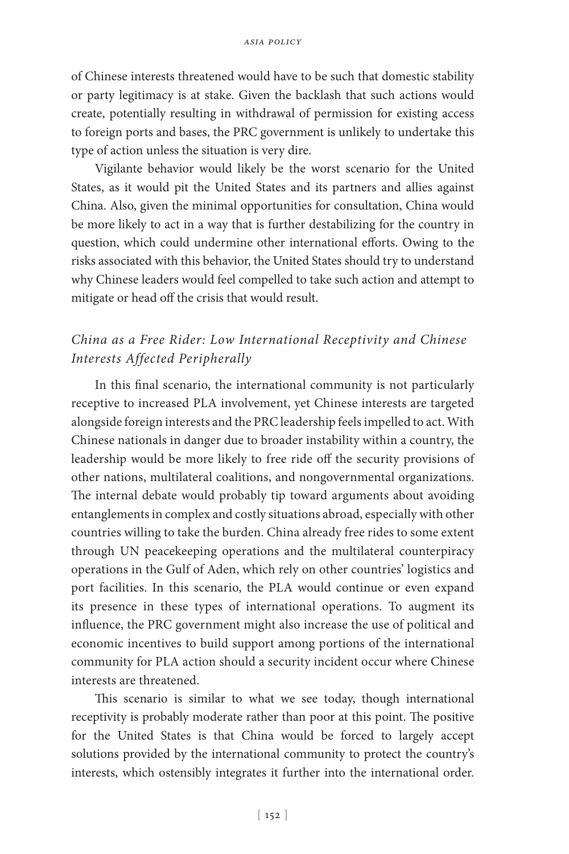of Chinese interests threatened would have to be such that domestic stability or party legitimacy is at stake. Given the backlash that such actions would create, potentially resulting in withdrawal of permission for existing access to foreign ports and bases, the PRC government is unlikely to undertake this type of action unless the situation is very dire.

Vigilante behavior would likely be the worst scenario for the United States, as it would pit the United States and its partners and allies against China. Also, given the minimal opportunities for consultation, China would be more likely to act in a way that is further destabilizing for the country in question, which could undermine other international efforts. Owing to the risks associated with this behavior, the United States should try to understand why Chinese leaders would feel compelled to take such action and attempt to mitigate or head off the crisis that would result.

# *China as a Free Rider: Low International Receptivity and Chinese Interests Affected Peripherally*

In this final scenario, the international community is not particularly receptive to increased PLA involvement, yet Chinese interests are targeted alongside foreign interests and the PRC leadership feels impelled to act. With Chinese nationals in danger due to broader instability within a country, the leadership would be more likely to free ride off the security provisions of other nations, multilateral coalitions, and nongovernmental organizations. The internal debate would probably tip toward arguments about avoiding entanglements in complex and costly situations abroad, especially with other countries willing to take the burden. China already free rides to some extent through UN peacekeeping operations and the multilateral counterpiracy operations in the Gulf of Aden, which rely on other countries' logistics and port facilities. In this scenario, the PLA would continue or even expand its presence in these types of international operations. To augment its influence, the PRC government might also increase the use of political and economic incentives to build support among portions of the international community for PLA action should a security incident occur where Chinese interests are threatened.

This scenario is similar to what we see today, though international receptivity is probably moderate rather than poor at this point. The positive for the United States is that China would be forced to largely accept solutions provided by the international community to protect the country's interests, which ostensibly integrates it further into the international order.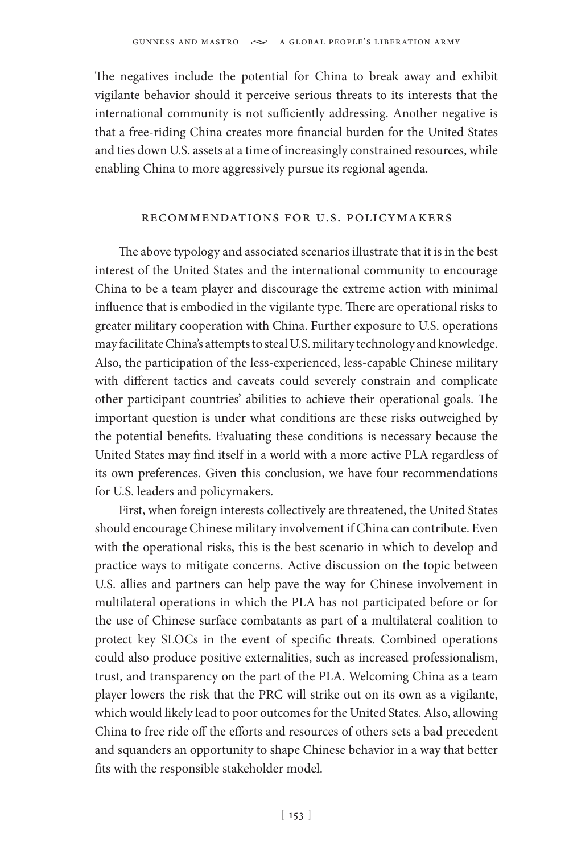The negatives include the potential for China to break away and exhibit vigilante behavior should it perceive serious threats to its interests that the international community is not sufficiently addressing. Another negative is that a free-riding China creates more financial burden for the United States and ties down U.S. assets at a time of increasingly constrained resources, while enabling China to more aggressively pursue its regional agenda.

## recommendations for u.s. policymakers

The above typology and associated scenarios illustrate that it is in the best interest of the United States and the international community to encourage China to be a team player and discourage the extreme action with minimal influence that is embodied in the vigilante type. There are operational risks to greater military cooperation with China. Further exposure to U.S. operations may facilitate China's attempts to steal U.S. military technology and knowledge. Also, the participation of the less-experienced, less-capable Chinese military with different tactics and caveats could severely constrain and complicate other participant countries' abilities to achieve their operational goals. The important question is under what conditions are these risks outweighed by the potential benefits. Evaluating these conditions is necessary because the United States may find itself in a world with a more active PLA regardless of its own preferences. Given this conclusion, we have four recommendations for U.S. leaders and policymakers.

First, when foreign interests collectively are threatened, the United States should encourage Chinese military involvement if China can contribute. Even with the operational risks, this is the best scenario in which to develop and practice ways to mitigate concerns. Active discussion on the topic between U.S. allies and partners can help pave the way for Chinese involvement in multilateral operations in which the PLA has not participated before or for the use of Chinese surface combatants as part of a multilateral coalition to protect key SLOCs in the event of specific threats. Combined operations could also produce positive externalities, such as increased professionalism, trust, and transparency on the part of the PLA. Welcoming China as a team player lowers the risk that the PRC will strike out on its own as a vigilante, which would likely lead to poor outcomes for the United States. Also, allowing China to free ride off the efforts and resources of others sets a bad precedent and squanders an opportunity to shape Chinese behavior in a way that better fits with the responsible stakeholder model.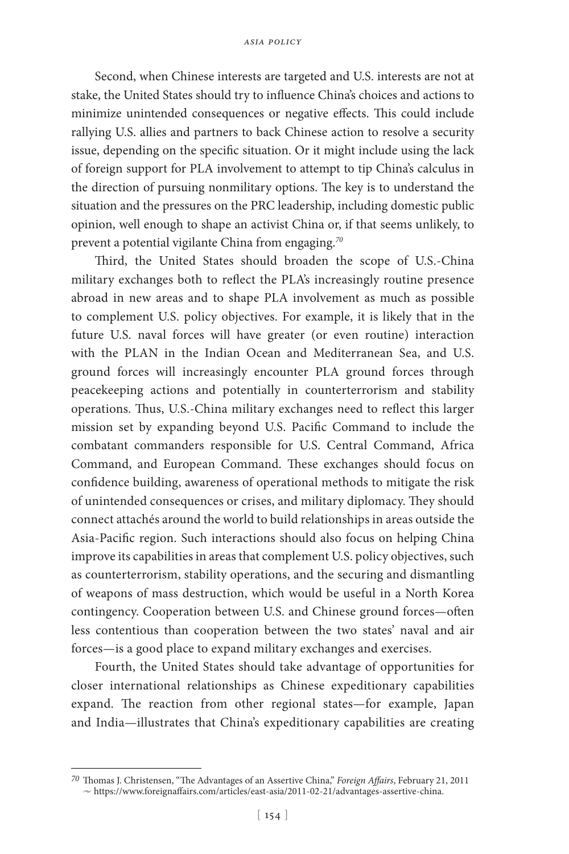Second, when Chinese interests are targeted and U.S. interests are not at stake, the United States should try to influence China's choices and actions to minimize unintended consequences or negative effects. This could include rallying U.S. allies and partners to back Chinese action to resolve a security issue, depending on the specific situation. Or it might include using the lack of foreign support for PLA involvement to attempt to tip China's calculus in the direction of pursuing nonmilitary options. The key is to understand the situation and the pressures on the PRC leadership, including domestic public opinion, well enough to shape an activist China or, if that seems unlikely, to prevent a potential vigilante China from engaging.*<sup>70</sup>*

Third, the United States should broaden the scope of U.S.-China military exchanges both to reflect the PLA's increasingly routine presence abroad in new areas and to shape PLA involvement as much as possible to complement U.S. policy objectives. For example, it is likely that in the future U.S. naval forces will have greater (or even routine) interaction with the PLAN in the Indian Ocean and Mediterranean Sea, and U.S. ground forces will increasingly encounter PLA ground forces through peacekeeping actions and potentially in counterterrorism and stability operations. Thus, U.S.-China military exchanges need to reflect this larger mission set by expanding beyond U.S. Pacific Command to include the combatant commanders responsible for U.S. Central Command, Africa Command, and European Command. These exchanges should focus on confidence building, awareness of operational methods to mitigate the risk of unintended consequences or crises, and military diplomacy. They should connect attachés around the world to build relationships in areas outside the Asia-Pacific region. Such interactions should also focus on helping China improve its capabilities in areas that complement U.S. policy objectives, such as counterterrorism, stability operations, and the securing and dismantling of weapons of mass destruction, which would be useful in a North Korea contingency. Cooperation between U.S. and Chinese ground forces—often less contentious than cooperation between the two states' naval and air forces—is a good place to expand military exchanges and exercises.

Fourth, the United States should take advantage of opportunities for closer international relationships as Chinese expeditionary capabilities expand. The reaction from other regional states—for example, Japan and India—illustrates that China's expeditionary capabilities are creating

*<sup>70</sup>* Thomas J. Christensen, "The Advantages of an Assertive China," *Foreign Affairs*, February 21, 2011  $\sim$  https://www.foreignaffairs.com/articles/east-asia/2011-02-21/advantages-assertive-china.